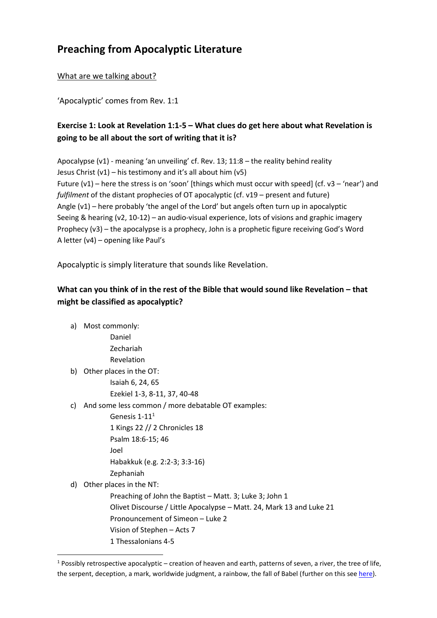# **Preaching from Apocalyptic Literature**

# What are we talking about?

'Apocalyptic' comes from Rev. 1:1

# **Exercise 1: Look at Revelation 1:1-5 – What clues do get here about what Revelation is going to be all about the sort of writing that it is?**

Apocalypse  $(v1)$  - meaning 'an unveiling' cf. Rev. 13;  $11:8$  – the reality behind reality Jesus Christ  $(v1)$  – his testimony and it's all about him  $(v5)$ Future  $(v1)$  – here the stress is on 'soon' [things which must occur with speed] (cf. v3 – 'near') and *fulfilment* of the distant prophecies of OT apocalyptic (cf. v19 – present and future) Angle (v1) – here probably 'the angel of the Lord' but angels often turn up in apocalyptic Seeing & hearing (v2, 10-12) – an audio-visual experience, lots of visions and graphic imagery Prophecy (v3) – the apocalypse is a prophecy, John is a prophetic figure receiving God's Word A letter (v4) – opening like Paul's

Apocalyptic is simply literature that sounds like Revelation.

# **What can you think of in the rest of the Bible that would sound like Revelation – that might be classified as apocalyptic?**

a) Most commonly:

Daniel

Zechariah Revelation

b) Other places in the OT:

Isaiah 6, 24, 65 Ezekiel 1-3, 8-11, 37, 40-48

c) And some less common / more debatable OT examples:

Genesis 1-11<sup>1</sup>

1 Kings 22 // 2 Chronicles 18

Psalm 18:6-15; 46

Joel

Habakkuk (e.g. 2:2-3; 3:3-16)

Zephaniah

d) Other places in the NT:

1

Preaching of John the Baptist – Matt. 3; Luke 3; John 1 Olivet Discourse / Little Apocalypse – Matt. 24, Mark 13 and Luke 21 Pronouncement of Simeon – Luke 2 Vision of Stephen – Acts 7 1 Thessalonians 4-5

 $1$  Possibly retrospective apocalyptic – creation of heaven and earth, patterns of seven, a river, the tree of life, the serpent, deception, a mark, worldwide judgment, a rainbow, the fall of Babel (further on this see [here\)](http://watumishiwaneno.wordpress.com/2013/05/17/thoughts-on-the-genre-of-early-genesis-2/).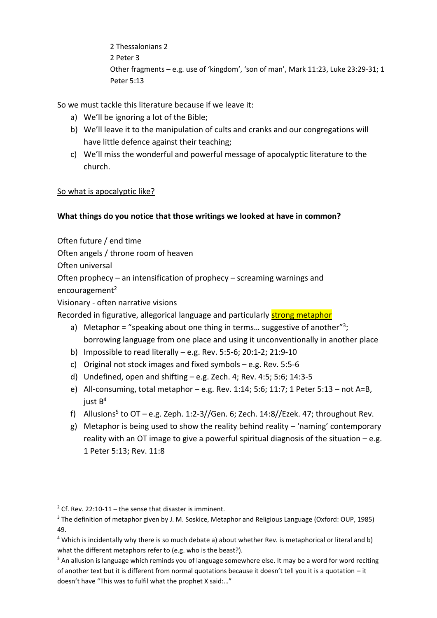2 Thessalonians 2 2 Peter 3 Other fragments – e.g. use of 'kingdom', 'son of man', Mark 11:23, Luke 23:29-31; 1 Peter 5:13

So we must tackle this literature because if we leave it:

- a) We'll be ignoring a lot of the Bible;
- b) We'll leave it to the manipulation of cults and cranks and our congregations will have little defence against their teaching;
- c) We'll miss the wonderful and powerful message of apocalyptic literature to the church.

### So what is apocalyptic like?

# **What things do you notice that those writings we looked at have in common?**

Often future / end time

Often angels / throne room of heaven

Often universal

Often prophecy – an intensification of prophecy – screaming warnings and

encouragement $2$ 

<u>.</u>

Visionary - often narrative visions

Recorded in figurative, allegorical language and particularly strong metaphor

- a) Metaphor = "speaking about one thing in terms... suggestive of another"<sup>3</sup>; borrowing language from one place and using it unconventionally in another place
- b) Impossible to read literally e.g. Rev. 5:5-6; 20:1-2; 21:9-10
- c) Original not stock images and fixed symbols e.g. Rev. 5:5-6
- d) Undefined, open and shifting e.g. Zech. 4; Rev. 4:5; 5:6; 14:3-5
- e) All-consuming, total metaphor  $-$  e.g. Rev. 1:14; 5:6; 11:7; 1 Peter 5:13 not A=B, just B<sup>4</sup>
- f) Allusions<sup>5</sup> to OT e.g. Zeph. 1:2-3//Gen. 6; Zech. 14:8//Ezek. 47; throughout Rev.
- g) Metaphor is being used to show the reality behind reality 'naming' contemporary reality with an OT image to give a powerful spiritual diagnosis of the situation – e.g. 1 Peter 5:13; Rev. 11:8

<sup>&</sup>lt;sup>2</sup> Cf. Rev. 22:10-11 – the sense that disaster is imminent.

<sup>3</sup> The definition of metaphor given by J. M. Soskice, Metaphor and Religious Language (Oxford: OUP, 1985) 49.

<sup>4</sup> Which is incidentally why there is so much debate a) about whether Rev. is metaphorical or literal and b) what the different metaphors refer to (e.g. who is the beast?).

 $5$  An allusion is language which reminds you of language somewhere else. It may be a word for word reciting of another text but it is different from normal quotations because it doesn't tell you it is a quotation – it doesn't have "This was to fulfil what the prophet X said:…"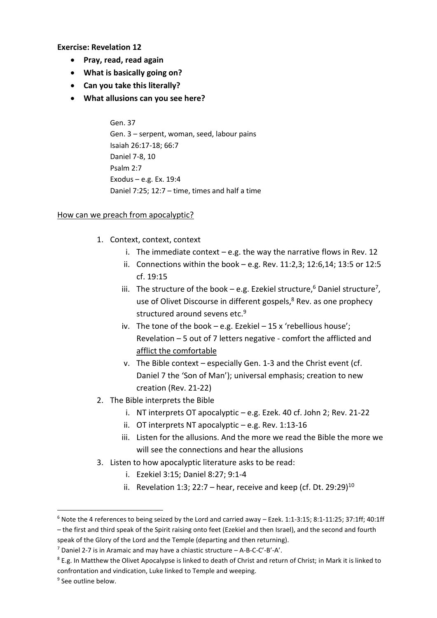**Exercise: Revelation 12**

- **Pray, read, read again**
- **What is basically going on?**
- **Can you take this literally?**
- **What allusions can you see here?**

Gen. 37 Gen. 3 – serpent, woman, seed, labour pains Isaiah 26:17-18; 66:7 Daniel 7-8, 10 Psalm 2:7 Exodus – e.g. Ex. 19:4 Daniel 7:25; 12:7 – time, times and half a time

#### How can we preach from apocalyptic?

- 1. Context, context, context
	- i. The immediate context  $-e.g.$  the way the narrative flows in Rev. 12
	- ii. Connections within the book e.g. Rev. 11:2,3; 12:6,14; 13:5 or 12:5 cf. 19:15
	- iii. The structure of the book  $-$  e.g. Ezekiel structure,<sup>6</sup> Daniel structure<sup>7</sup>, use of Olivet Discourse in different gospels,<sup>8</sup> Rev. as one prophecy structured around sevens etc.<sup>9</sup>
	- iv. The tone of the book e.g. Ezekiel 15 x 'rebellious house'; Revelation – 5 out of 7 letters negative - comfort the afflicted and afflict the comfortable
	- v. The Bible context especially Gen. 1-3 and the Christ event (cf. Daniel 7 the 'Son of Man'); universal emphasis; creation to new creation (Rev. 21-22)
- 2. The Bible interprets the Bible
	- i. NT interprets OT apocalyptic e.g. Ezek. 40 cf. John 2; Rev. 21-22
	- ii. OT interprets NT apocalyptic e.g. Rev. 1:13-16
	- iii. Listen for the allusions. And the more we read the Bible the more we will see the connections and hear the allusions
- 3. Listen to how apocalyptic literature asks to be read:
	- i. Ezekiel 3:15; Daniel 8:27; 9:1-4
	- ii. Revelation 1:3; 22:7 hear, receive and keep (cf. Dt. 29:29)<sup>10</sup>

1

 $6$  Note the 4 references to being seized by the Lord and carried away – Ezek. 1:1-3:15; 8:1-11:25; 37:1ff; 40:1ff – the first and third speak of the Spirit raising onto feet (Ezekiel and then Israel), and the second and fourth

speak of the Glory of the Lord and the Temple (departing and then returning).

<sup>7</sup> Daniel 2-7 is in Aramaic and may have a chiastic structure – A-B-C-C'-B'-A'.

 $8$  E.g. In Matthew the Olivet Apocalypse is linked to death of Christ and return of Christ; in Mark it is linked to confrontation and vindication, Luke linked to Temple and weeping.

<sup>&</sup>lt;sup>9</sup> See outline below.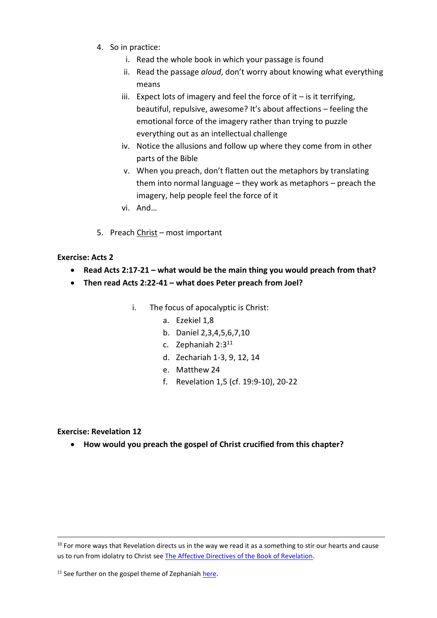- 4. So in practice:
	- i. Read the whole book in which your passage is found
	- ii. Read the passage *aloud*, don't worry about knowing what everything means
	- iii. Expect lots of imagery and feel the force of it  $-$  is it terrifying, beautiful, repulsive, awesome? It's about affections – feeling the emotional force of the imagery rather than trying to puzzle everything out as an intellectual challenge
	- iv. Notice the allusions and follow up where they come from in other parts of the Bible
	- v. When you preach, don't flatten out the metaphors by translating them into normal language – they work as metaphors – preach the imagery, help people feel the force of it
	- vi. And…
- 5. Preach Christ most important

#### **Exercise: Acts 2**

- **Read Acts 2:17-21 – what would be the main thing you would preach from that?**
- **Then read Acts 2:22-41 – what does Peter preach from Joel?**
	- i. The focus of apocalyptic is Christ:
		- a. Ezekiel 1,8
		- b. Daniel 2,3,4,5,6,7,10
		- c. Zephaniah  $2:3^{11}$
		- d. Zechariah 1-3, 9, 12, 14
		- e. Matthew 24
		- f. Revelation 1,5 (cf. 19:9-10), 20-22

#### **Exercise: Revelation 12**

1

**How would you preach the gospel of Christ crucified from this chapter?**

 $10$  For more ways that Revelation directs us in the way we read it as a something to stir our hearts and cause us to run from idolatry to Christ see The [Affective Directives of the Book of Revelation.](http://www.tyndalehouse.com/Bulletin/63=2012/07-Harker16.pdf)

<sup>11</sup> See further on the gospel theme of Zephaniah [here.](http://watumishiwaneno.wordpress.com/2012/04/27/what-is-zephaniah-all-about/)